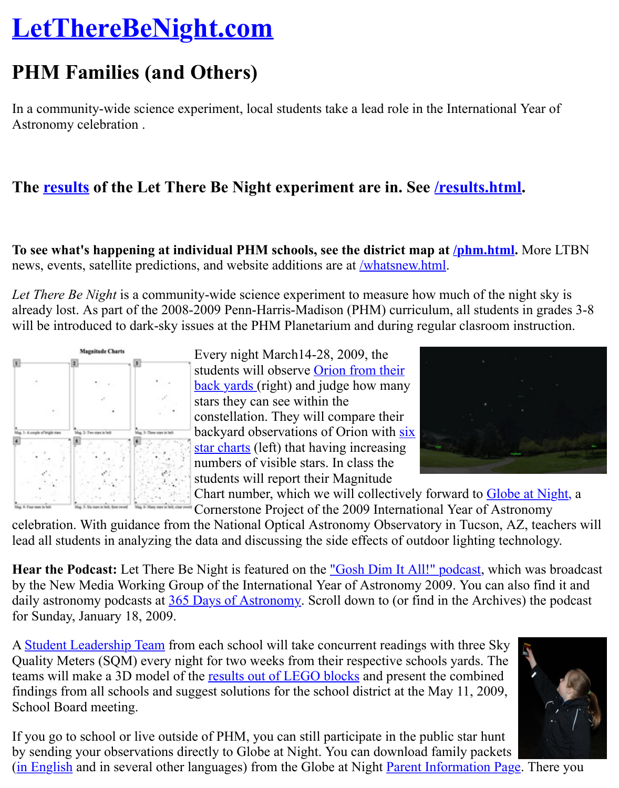In a community-wide science experiment, local students take a lead role in the International Y [Astronomy celebration .](http://www.lettherebenight.com/index.html)

#### **The results of the Let There Be Night experiment are in. See /results.html.**

To see what's happening at individual PHM schools, see the district map at **/phm.html**. No news, events, satellite predictions, and website additions are at **/whatsnew.html**.

*Let T[here Be N](http://www.lettherebenight.com/results.html)ight* is a community-wide science experiment to measure ho[w much of the nig](http://www.lettherebenight.com/results.html)htalready lost. As part of the 2008-2009 Penn-Harris-Madison (PHM) curriculum, all students in will be introduced to dark-sky issues at the PHM Planetarium and during regular clasroom instruction.



Every night March14-28, 2009, the students will observe **Orion fr[om their](http://www.lettherebenight.com/whatsnew.html)** back yards (right) and judge how many stars they can see within the constellation. They will compare their backyard observations of Orion with six star charts (left) that having increasing numbers of visible stars. In class the [students will report their Magnitude](http://www.lettherebenight.com/starfield-earthhour.jpg)



Chart number, which we will collectively forward to Globe at Cornerstone Project of the 2009 International Year of Astron

celebration. With guidance from the National Optical Astronomy Observatory in Tucson, AZ lead all students in analyzing the [data and discussing the side effects of ou](http://www.lettherebenight.com/PHM-6charts.pdf)tdoor lighting techn

**Hear the Podcast:** Let There Be Night is featured on the <u>"Gosh Dim It All!" podcast</u>, which by the New Media Working Group of the International Year of Astronomy 2009. You can also daily astronomy podcasts at 365 Days of Astronomy. Scroll down to (or find in the Archives) for Sunday, January 18, 2009.

A Student Leadership Team from each school will take concurrent readings with three Sky Quality Meters (SQM) every night for two weeks from their respective schools yards. The teams will make a 3D model of the results out of LEGO [blocks and present the combi](http://www.lettherebenight.com/podcast1.mp3)ned findings from all schools and suggest solutions for the school district at the May 11, 2009, School Board meeting.

If you go to school or live outside of PHM, you can still participate in the public star hunt b[y sending your observation](http://www.lettherebenight.com/families.html#student_team)s directly to Globe at Night. You can download family packets (in English and in several other languages) from the Globe at Night Parent Information Page.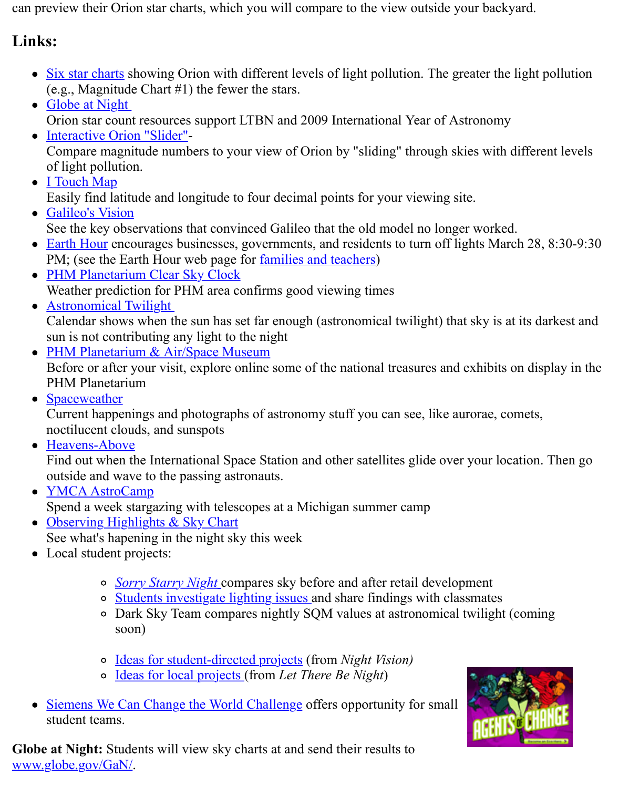- Shoot at 1 115 in Orion star count resources support LTBN and 2009 International Year of Astronomy
- Interactive Orion "Slider"- Compare magnitude numbers to your view of Orion by "sliding" through skies with dif of light pollution.
- **[I Touch Map](http://www.lettherebenight.com/PHM-6charts.pdf)** Easily find latitude and longitude to four decimal points for your viewing site.
- [Galileo's Vision](http://www.globe.gov/GaN/) See the key observations that convinced Galileo that the old model no longer worked.
- [Earth Hour encourages bu](http://www.globe.gov/GaN/orion_lite_pollution.swf)sinesses, governments, and residents to turn off lights March PM; (see the Earth Hour web page for <u>families and teachers</u>)
- PHM Planetarium Clear Sky Clock [Weather pred](http://itouchmap.com/latlong.html)iction for PHM area confirms good viewing times
- **Astronomical Twilight** [Calendar shows](http://www.lettherebenight.com/galileo.html) when the sun has set far enough (astronomical twilight) that sky is at it sun is not contributing any light to the night
- [PHM Plane](http://www.lettherebenight.com/earthhour.html)tarium & Air/Space Museum Before or after your visit, explore onli[ne some of the nationa](http://www.earthhourus.org/action_parents.php)l treasures and exhibits on [PHM Planetarium](http://cleardarksky.com/c/PnnHrMPINkey.html)
- Spaceweather

[Current happenings and](http://www.sunrisesunset.com/usa/Indiana.asp) photographs of astronomy stuff you can see, like aurorae, come noctilucent clouds, and sunspots

Heavens-Above

[Find out when the International Space St](http://www.transitofvenus.org/phm/index.htm)ation and other satellites glide over your location. outside and wave to the passing astronauts.

- **YMCA AstroCamp** [Spend a week](http://www.spaceweather.com/) stargazing with telescopes at a Michigan summer camp
- Observing Highlights & Sky Chart See what's hapening in the night sky this week
- [Local student pro](http://www.heavens-above.com/)jects:
	- *Sorry Starry Night* compares sky before and after retail development
	- [Student](http://analyzer.depaul.edu/paperplate/astrocamp.htm)s investigate lighting issues and share findings with classmates
	- o Dark Sky Team compares nightly SQM values at astronomical twilight (compared) [soon\)](http://www.skyandtelescope.com/observing/highlights)
	- Ideas for student-directed projects (from *Night Vision)*
	- [Ideas for local proje](http://www.nightwise.org/sorry.htm)cts (from *Let There Be Night*)
- Siemens We [Can Change the World Challenge o](http://www.nightwise.org/gsms.htm)ffers opportunity for small student teams.

**Globe at Night:** Students will view sky charts at and send their results to www.globe.gov/G[aN/.](http://www.nightwise.org/ideas.htm)

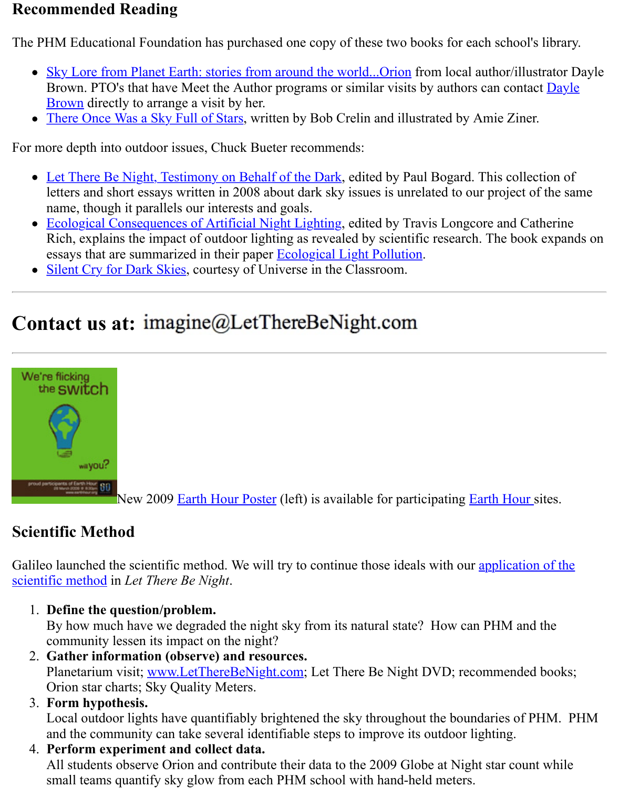- Brown directly to arrange a visit by her. The second problem is a visit by her results of the second parameter
- There Once Was a Sky Full of Stars, written by Bob Crelin and illustrated by Amie Zin

For more depth into outdoor issues, Chuck Bueter recommends:

- [Let There Be Night, Testimony on Behalf of the Dark, edited by Pa](http://www.authorhouse.com/BookStore/ItemDetail~bookid~26318.aspx)ul Bogard. This coll letters and short essays written in 2008 about dark sky issues is unrelated to our project name, though it parallels our interests and goals.
- [Ecological Consequences of Artifici](http://www.bobcrelin.com/author.html)al Night Lighting, edited by Travis Longcore and C Rich, explains the impact of outdoor lighting as revealed by scientific research. The book essays that are summarized in their paper **Ecological Light Pollution**.
- [Silent Cry for Dark Skies, courtesy of Universe in the](http://www.nvbooks.nevada.edu/books.asp?ID=2506) Classroom.

# Co[ntact us at:](http://www.amazon.com/Ecological-Consequences-Artificial-Night-Lighting/dp/1559631295) imagine@LetThereBeNight.com



New 2009 Earth Hour Poster (left) is available for participating Earth Hour

## **[Scientific Meth](http://www.lettherebenight.com/earthhourposter02.pdf)od**

Galileo launched the scientific method. We will try to continue those ideals with our application scientific method in *Let There Be Night*.

1. **Define the question/p[roblem.](http://www.lettherebenight.com/earthhourposter02.pdf)**

By how much have we degraded the night sky from its natural state? How can PHM and community lessen its impact on the night?

- 2. **Gather information (observe) and resources.** Planetarium visit; www.LetThereBeNight.com; Let There Be Night DVD; recommended Orion star charts; Sky Quality Meters.
- 3. **Form hypothesis.**

Local outdoor lights have quantifiably brightened the sky throughout the boundaries of and the community can take several identifiable steps to improve its outdoor lighting.

4. **Perform experiment and collect data.** All students observe Orion and contribute their data to the 2009 Globe at Night star count small teams quant[ify sky glow from each PHM](http://www.lettherebenight.com/) school with hand-held meters.